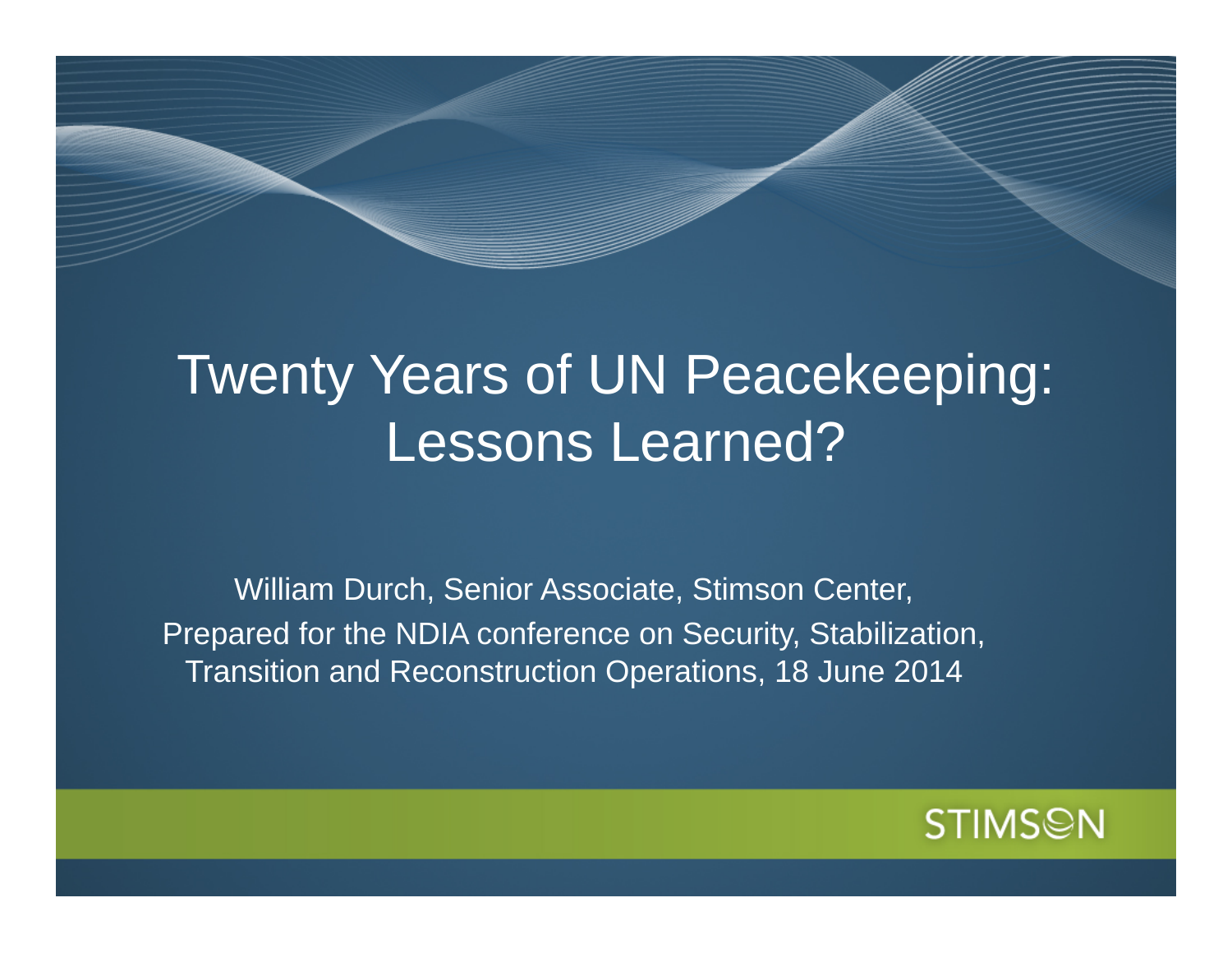# Twenty Years of UN Peacekeeping: Lessons Learned?

William Durch, Senior Associate, Stimson Center, Prepared for the NDIA conference on Security, Stabilization, Transition and Reconstruction Operations, 18 June 2014

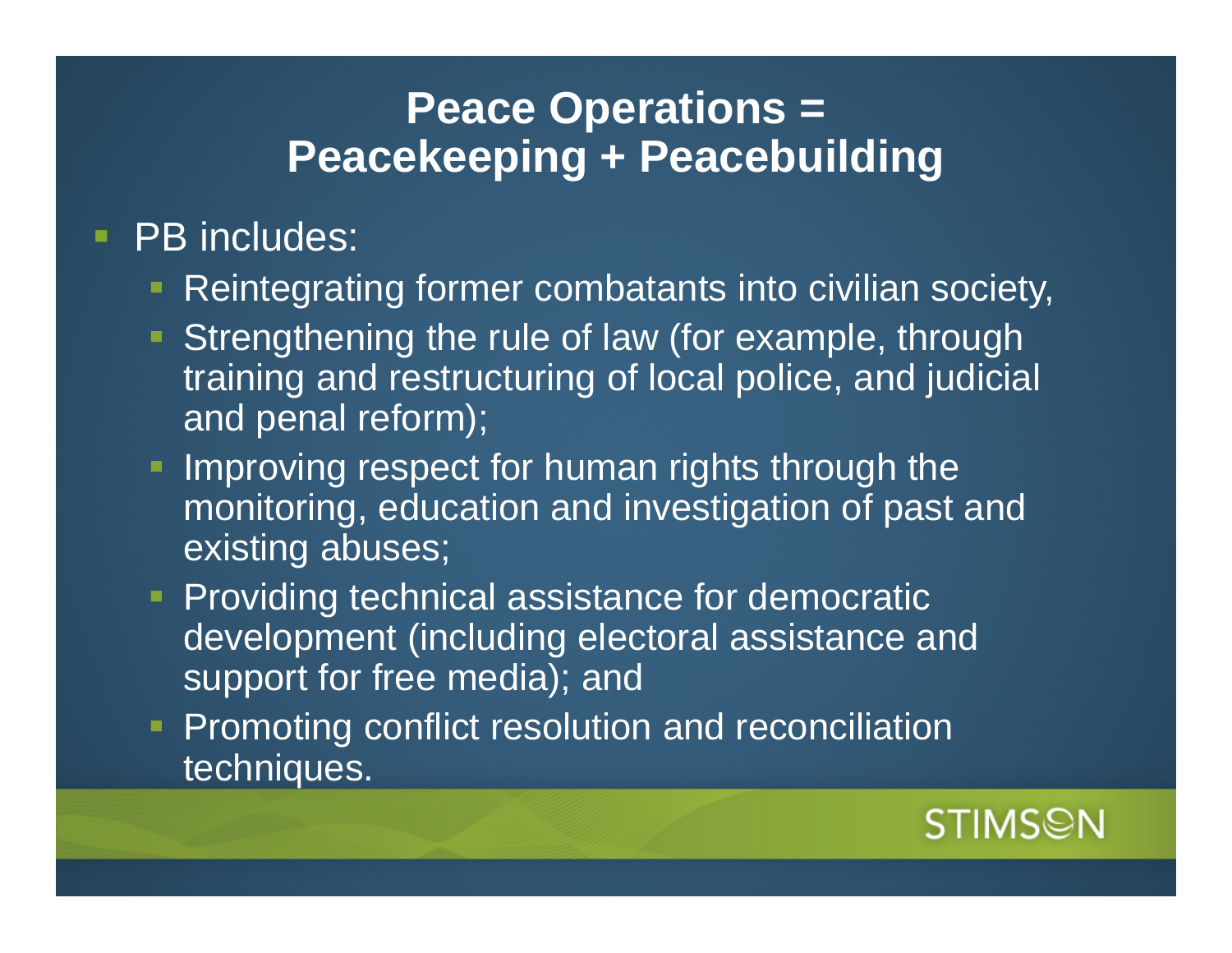### **Peace Operations = Peacekeeping + Peacebuilding**

#### $\blacksquare$ PB includes:

- **Reintegrating former combatants into civilian society,**
- **Strengthening the rule of law (for example, through** training and restructuring of local police, and judicial and penal reform);
- **Improving respect for human rights through the** monitoring, education and investigation of past and existing abuses;
- **Providing technical assistance for democratic** development (including electoral assistance and support for free media); and
- **Promoting conflict resolution and reconciliation** techniques.

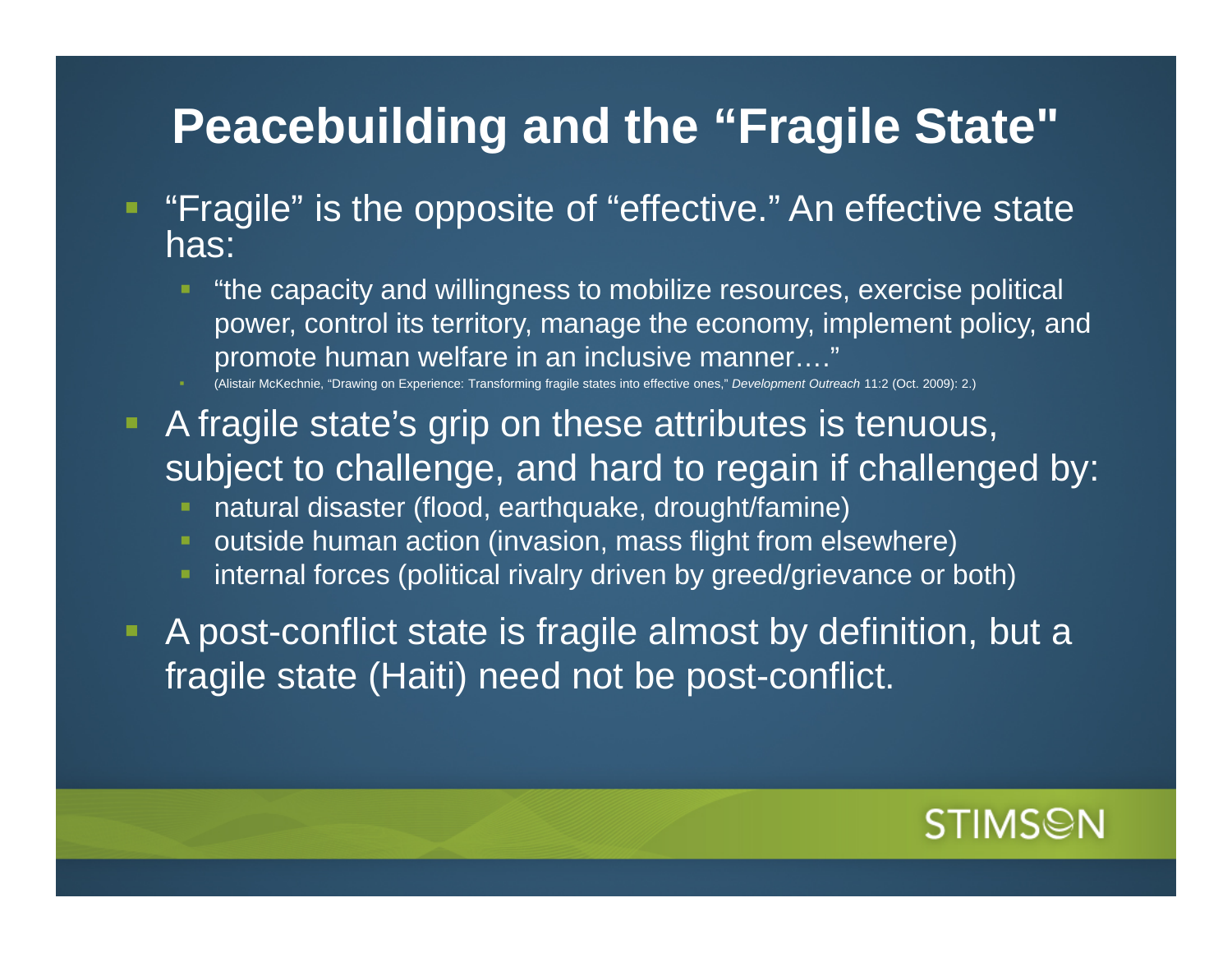# **Peacebuilding and the "Fragile State"**

- $\blacksquare$  "Fragile" is the opposite of "effective." An effective state has:
	- "the capacity and willingness to mobilize resources, exercise political power, control its territory, manage the economy, implement policy, and promote human welfare in an inclusive manner…."

(Alistair McKechnie, "Drawing on Experience: Transforming fragile states into effective ones," *Development Outreach* 11:2 (Oct. 2009): 2.)

- **A** fragile state's grip on these attributes is tenuous, subject to challenge, and hard to regain if challenged by:
	- natural disaster (flood, earthquake, drought/famine)
	- outside human action (invasion, mass flight from elsewhere)
	- internal forces (political rivalry driven by greed/grievance or both)

 $\blacksquare$  A post-conflict state is fragile almost by definition, but a fragile state (Haiti) need not be post-conflict.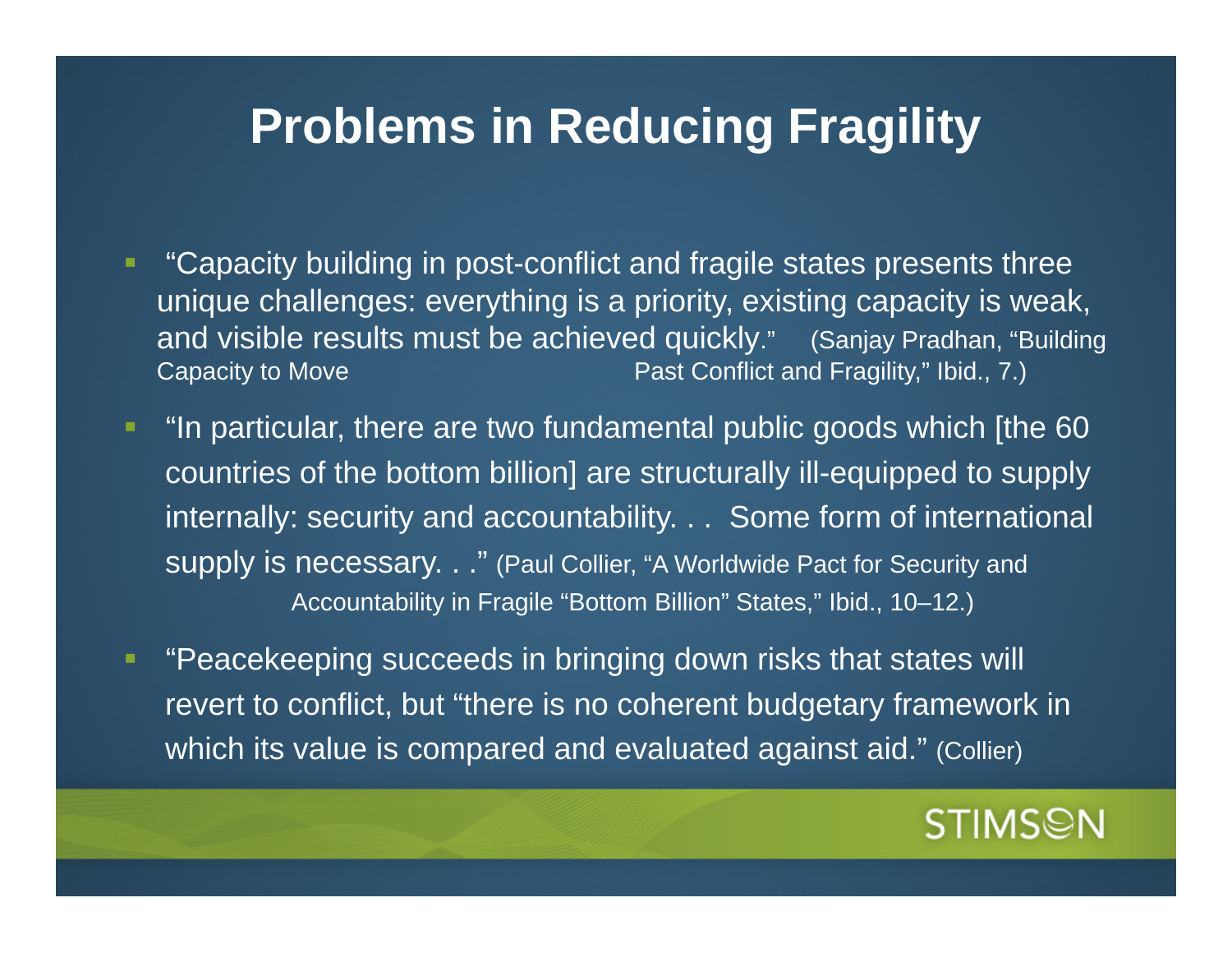# **Problems in Reducing Fragility**

- "Capacity building in post-conflict and fragile states presents three unique challenges: everything is a priority, existing capacity is weak, and visible results must be achieved quickly." (Sanjay Pradhan, "Building Capacity to Move **Past Conflict and Fragility," Ibid., 7.**)
- "In particular, there are two fundamental public goods which [the 60 countries of the bottom billion] are structurally ill-equipped to supply internally: security and accountability. . . Some form of international supply is necessary. . ." (Paul Collier, "A Worldwide Pact for Security and Accountability in Fragile "Bottom Billion" States," Ibid., 10–12.)
- **Service Service**  "Peacekeeping succeeds in bringing down risks that states will revert to conflict, but "there is no coherent budgetary framework in which its value is compared and evaluated against aid." (Collier)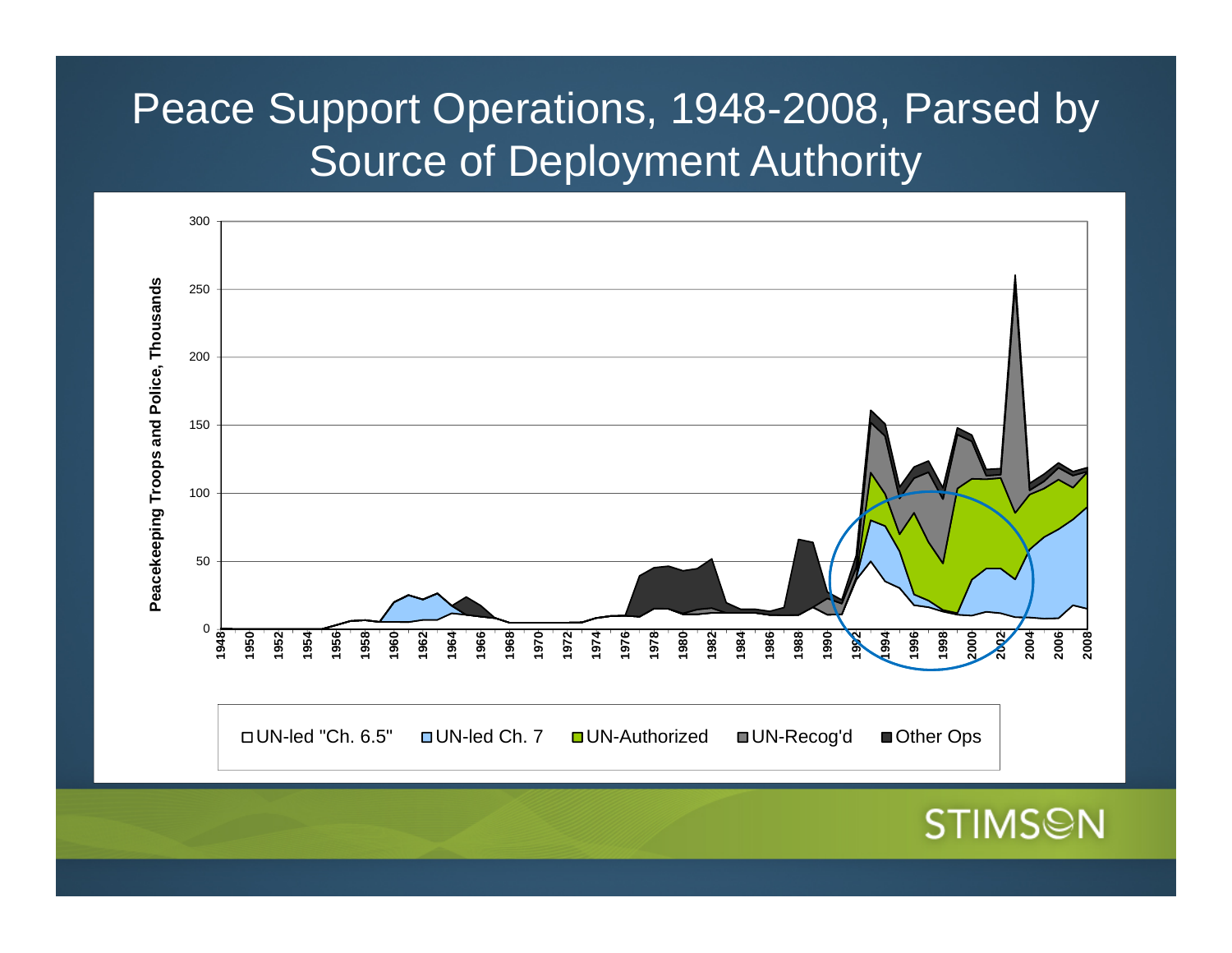# Peace Support Operations, 1948-2008, Parsed by Source of Deployment Authority

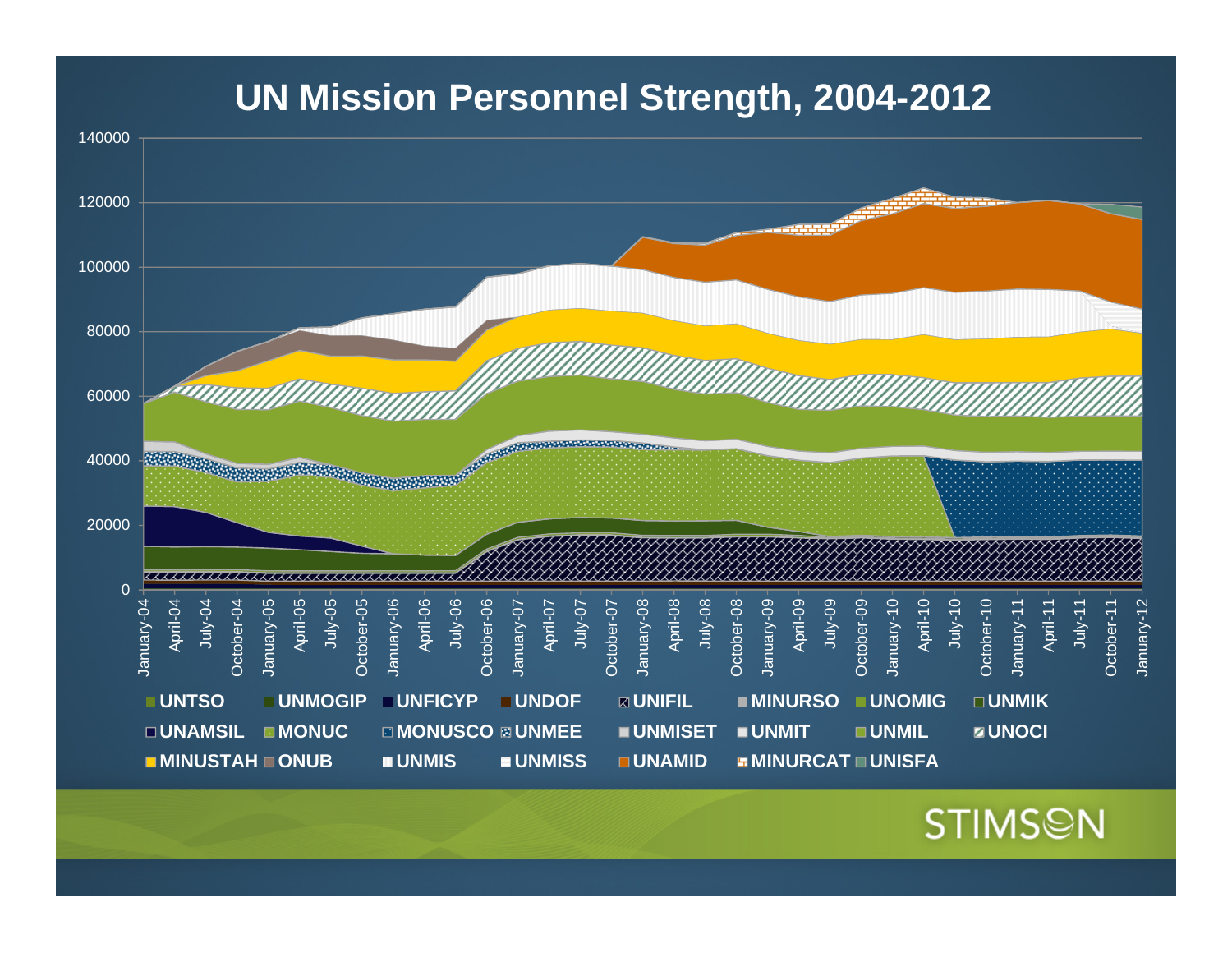#### **UN Mission Personnel Strength, 2004-2012**

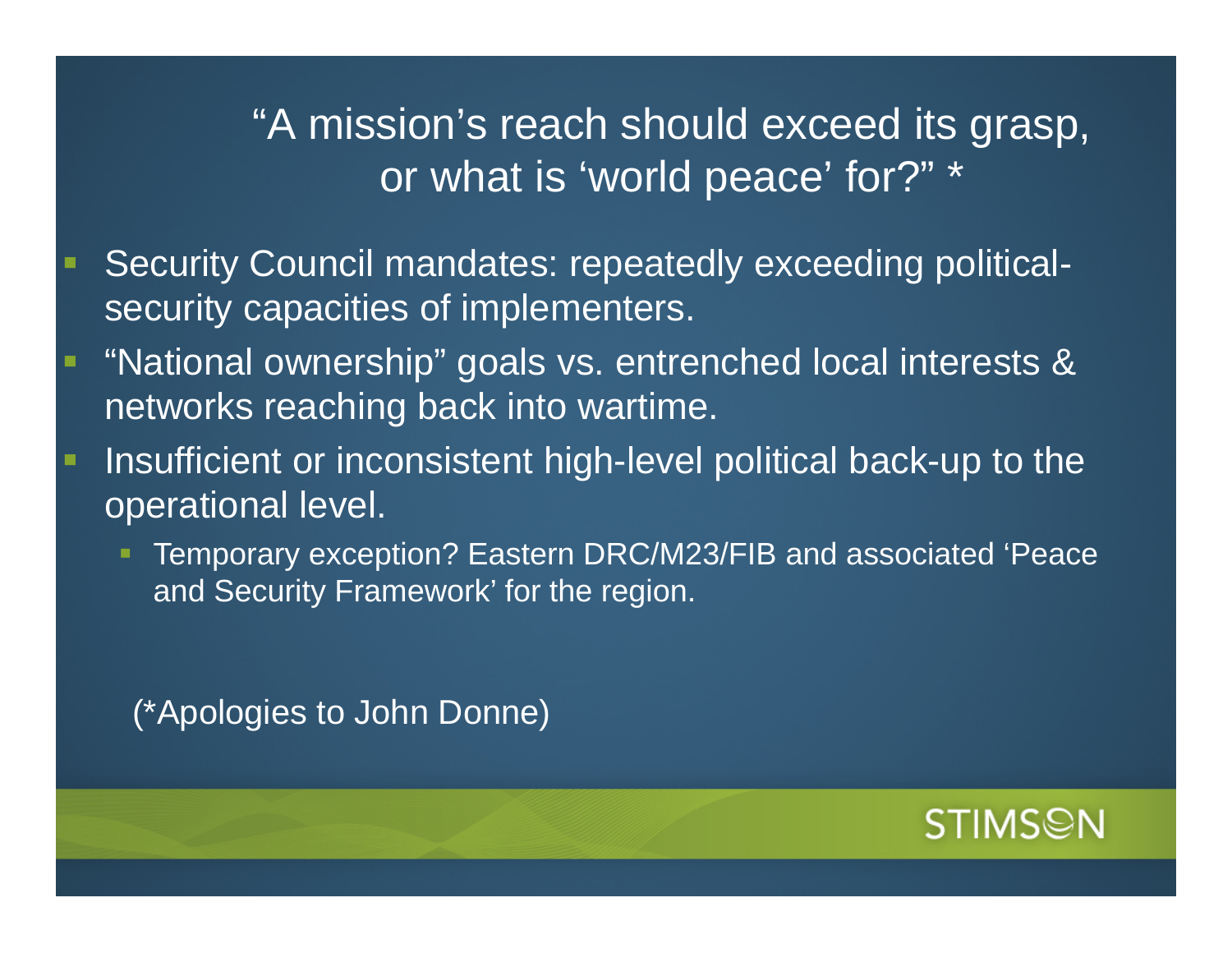### "A mission's reach should exceed its grasp, or what is 'world peace' for?" \*

- Security Council mandates: repeatedly exceeding politicalsecurity capacities of implementers.
- "National ownership" goals vs. entrenched local interests & networks reaching back into wartime.
- Insufficient or inconsistent high-level political back-up to the operational level.
	- Temporary exception? Eastern DRC/M23/FIB and associated 'Peace and Security Framework' for the region.

(\*Apologies to John Donne)

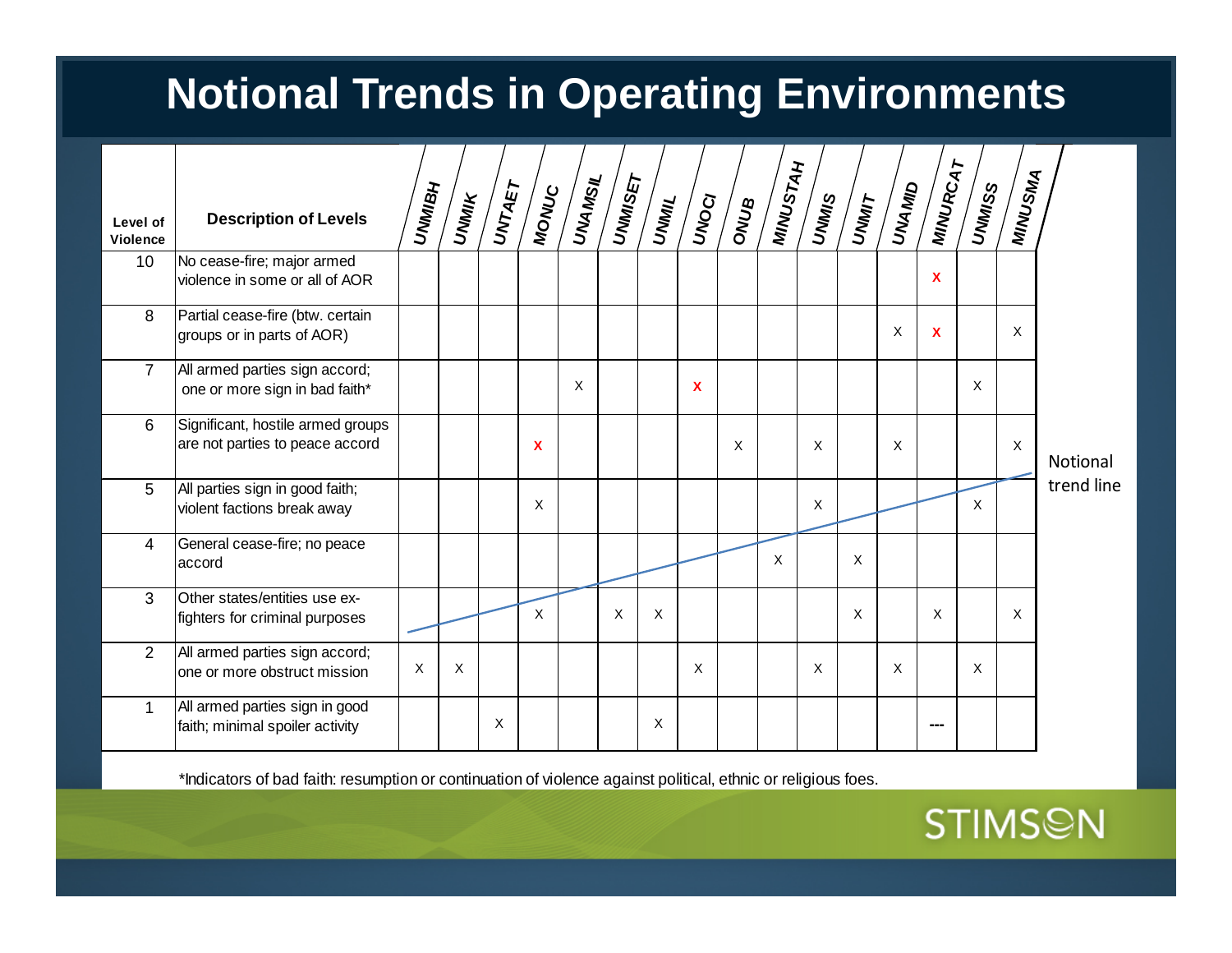## **Notional Trends in Operating Environments**

| Level of<br><b>Violence</b> | <b>Description of Levels</b>                                         | <b>UNMIBH</b> |   | $\sqrt{\frac{1}{2}\left(\frac{1}{2}\right)}\int\limits_{-\infty}^{\infty}\frac{d\zeta}{\zeta}=\sqrt{\frac{1}{2}\left(\frac{1}{2}\right)}\int\limits_{-\infty}^{\infty}\frac{d\zeta}{\zeta}=\sqrt{\frac{1}{2}\left(\frac{1}{2}\right)}\int\limits_{-\infty}^{\infty}\frac{d\zeta}{\zeta}=\sqrt{\frac{1}{2}\left(\frac{1}{2}\right)}\int\limits_{-\infty}^{\infty}\frac{d\zeta}{\zeta}=\sqrt{\frac{1}{2}\left(\frac{1}{2}\right)}\int\limits_{-\infty}^{\infty}\frac{d\zeta}{\zeta}$ |              |   | UNIMISET | $\sqrt{\frac{1}{2}}$ | UNOCI | <b>SANG</b> | <b>MINUSTAH</b> | UNVIS<br>UNVIS | <b>TIMMLY</b> | <b>OIMAND</b> | <b>MINURCAT</b> | UNINISS | MINUSMA      |                        |
|-----------------------------|----------------------------------------------------------------------|---------------|---|------------------------------------------------------------------------------------------------------------------------------------------------------------------------------------------------------------------------------------------------------------------------------------------------------------------------------------------------------------------------------------------------------------------------------------------------------------------------------------|--------------|---|----------|----------------------|-------|-------------|-----------------|----------------|---------------|---------------|-----------------|---------|--------------|------------------------|
| 10                          | No cease-fire; major armed<br>violence in some or all of AOR         |               |   |                                                                                                                                                                                                                                                                                                                                                                                                                                                                                    |              |   |          |                      |       |             |                 |                |               |               | $\mathbf{x}$    |         |              | Notional<br>trend line |
| 8                           | Partial cease-fire (btw. certain<br>groups or in parts of AOR)       |               |   |                                                                                                                                                                                                                                                                                                                                                                                                                                                                                    |              |   |          |                      |       |             |                 |                |               | X             | $\mathbf{x}$    |         | X            |                        |
| $\overline{7}$              | All armed parties sign accord;<br>one or more sign in bad faith*     |               |   |                                                                                                                                                                                                                                                                                                                                                                                                                                                                                    |              | X |          |                      | X     |             |                 |                |               |               |                 | X       |              |                        |
| 6                           | Significant, hostile armed groups<br>are not parties to peace accord |               |   |                                                                                                                                                                                                                                                                                                                                                                                                                                                                                    | $\mathbf{x}$ |   |          |                      |       | X           |                 | X              |               | $\sf X$       |                 |         | $\mathsf{X}$ |                        |
| 5                           | All parties sign in good faith;<br>violent factions break away       |               |   |                                                                                                                                                                                                                                                                                                                                                                                                                                                                                    | $\mathsf X$  |   |          |                      |       |             |                 | X              |               |               |                 | X       |              |                        |
| 4                           | General cease-fire; no peace<br>laccord                              |               |   |                                                                                                                                                                                                                                                                                                                                                                                                                                                                                    |              |   |          |                      |       |             | X               |                | X             |               |                 |         |              |                        |
| 3                           | Other states/entities use ex-<br>fighters for criminal purposes      |               |   |                                                                                                                                                                                                                                                                                                                                                                                                                                                                                    | $\mathsf{X}$ |   | X        | X                    |       |             |                 |                | X             |               | X               |         | X            |                        |
| 2                           | All armed parties sign accord;<br>one or more obstruct mission       | X             | X |                                                                                                                                                                                                                                                                                                                                                                                                                                                                                    |              |   |          |                      | X     |             |                 | X              |               | $\sf X$       |                 | X       |              |                        |
|                             | All armed parties sign in good<br>faith; minimal spoiler activity    |               |   | X                                                                                                                                                                                                                                                                                                                                                                                                                                                                                  |              |   |          | X                    |       |             |                 |                |               |               |                 |         |              |                        |

\*Indicators of bad faith: resumption or continuation of violence against political, ethnic or religious foes.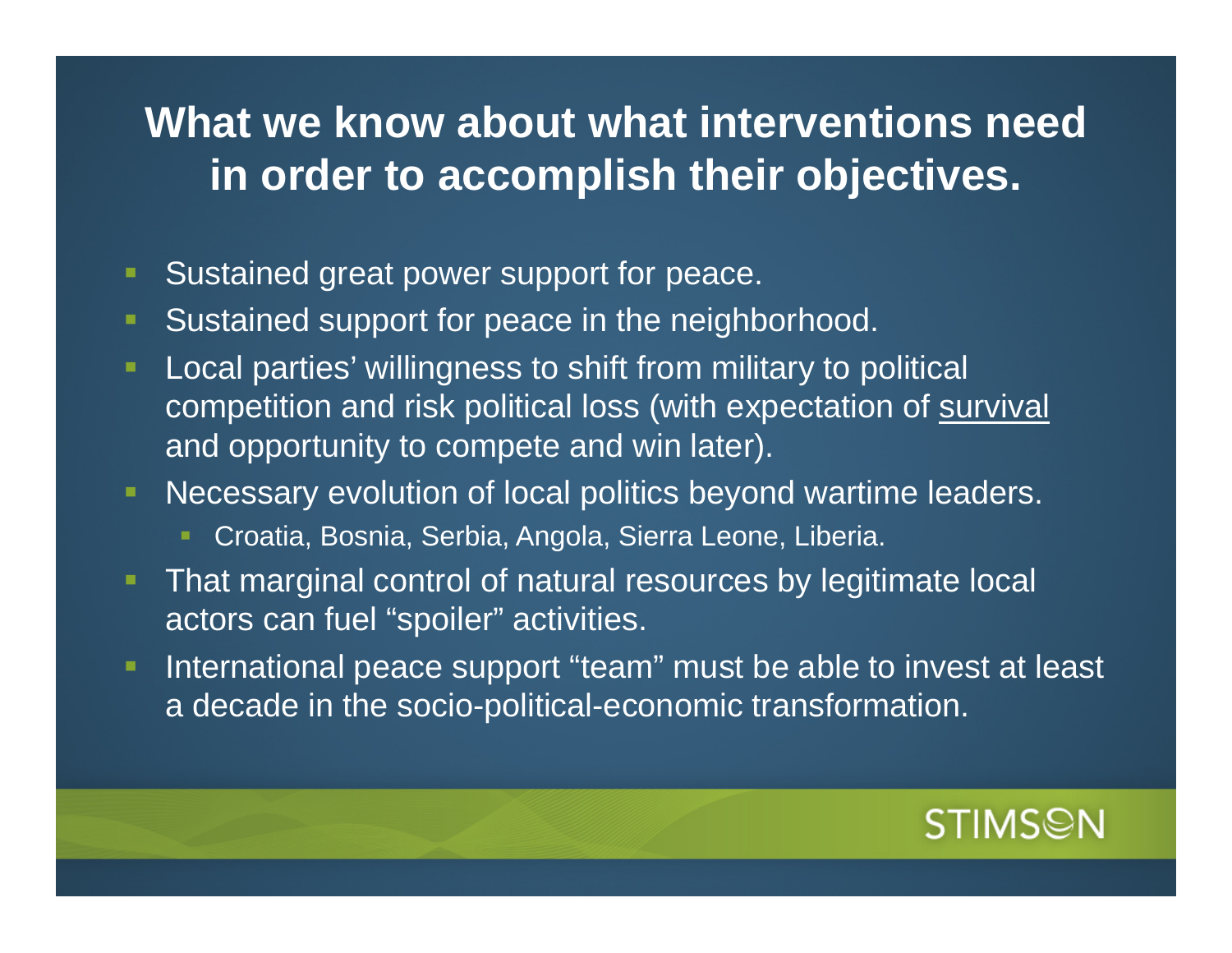### **What we know about what interventions need in order to accomplish their objectives.**

- $\blacksquare$ Sustained great power support for peace.
- $\blacksquare$ Sustained support for peace in the neighborhood.
- Local parties' willingness to shift from military to political competition and risk political loss (with expectation of survival and opportunity to compete and win later).
- Necessary evolution of local politics beyond wartime leaders.
	- Croatia, Bosnia, Serbia, Angola, Sierra Leone, Liberia.
- That marginal control of natural resources by legitimate local actors can fuel "spoiler" activities.
- $\blacksquare$  International peace support "team" must be able to invest at least a decade in the socio-political-economic transformation.

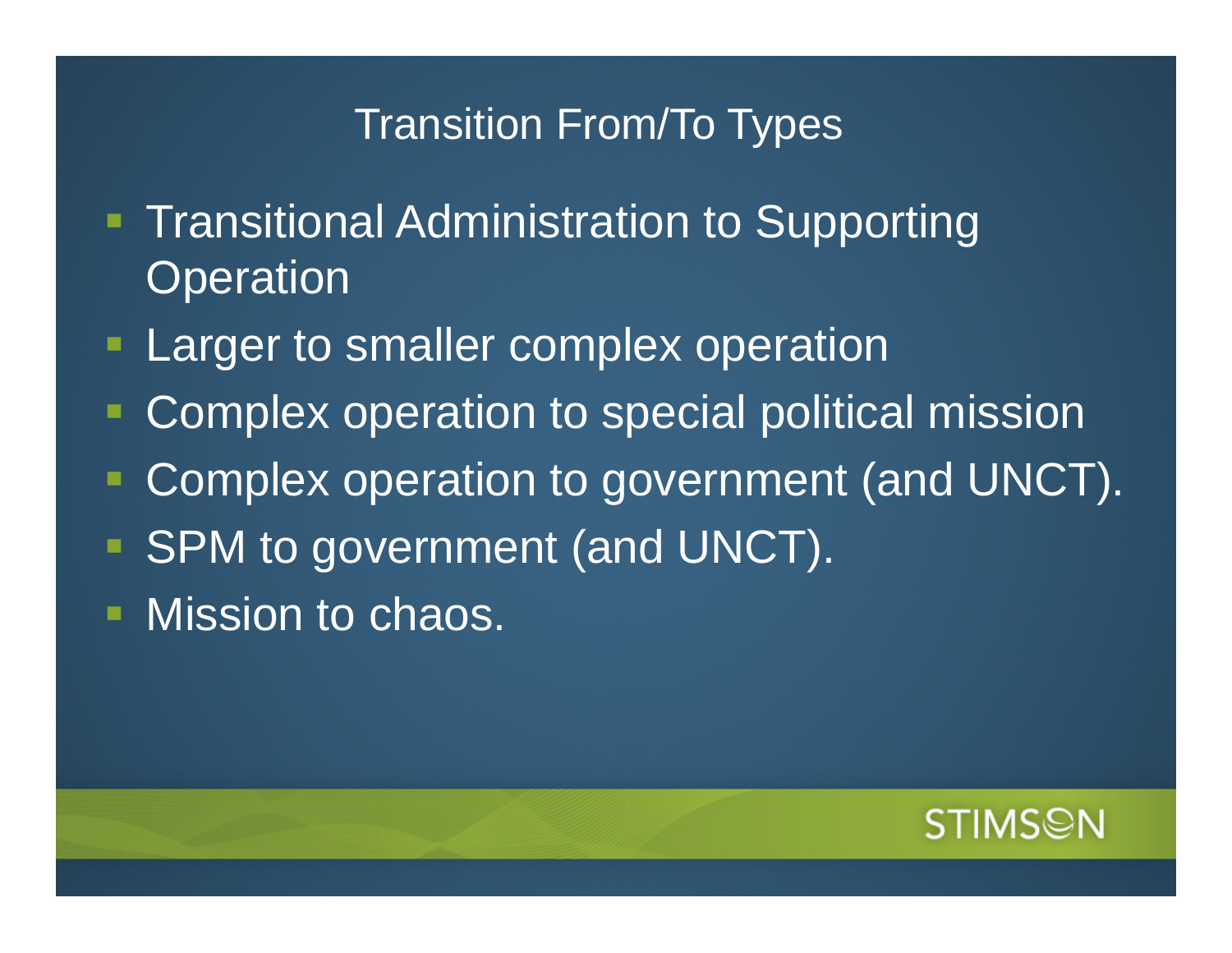#### Transition From/To Types

- **Transitional Administration to Supporting Operation**
- **Larger to smaller complex operation**
- ٠ Complex operation to special political mission
- Ξ Complex operation to government (and UNCT).
- SPM to government (and UNCT).
- Mission to chaos.

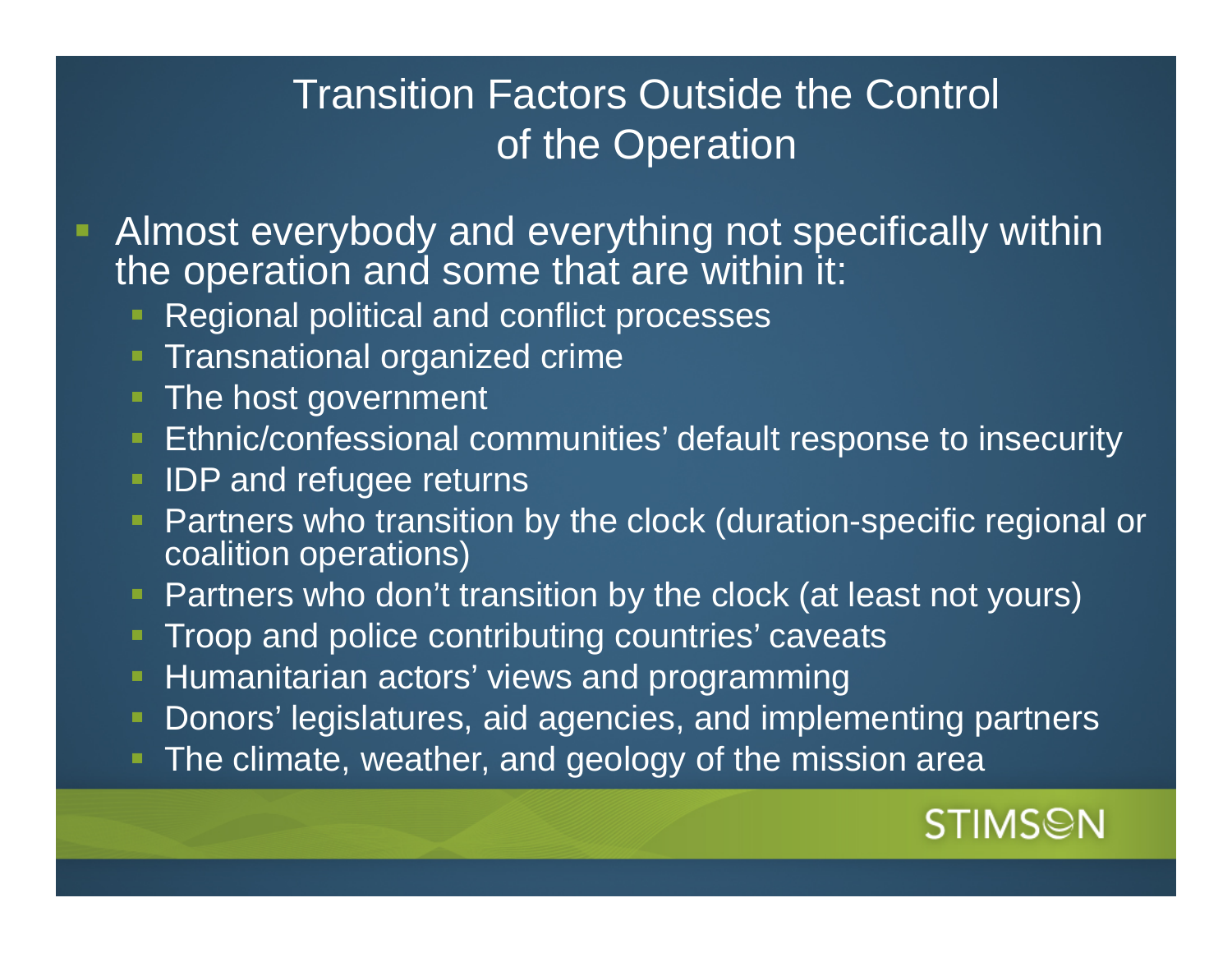#### Transition Factors Outside the Control of the Operation

- Almost everybody and everything not specifically within the operation and some that are within it:
	- Regional political and conflict processes
	- Transnational organized crime
	- The host government
	- **Ethnic/confessional communities' default response to insecurity**
	- **IDP** and refugee returns
	- Partners who transition by the clock (duration-specific regional or coalition operations)
	- Partners who don't transition by the clock (at least not yours)
	- Troop and police contributing countries' caveats
	- **Humanitarian actors' views and programming**
	- $\blacksquare$ Donors' legislatures, aid agencies, and implementing partners
	- The climate, weather, and geology of the mission area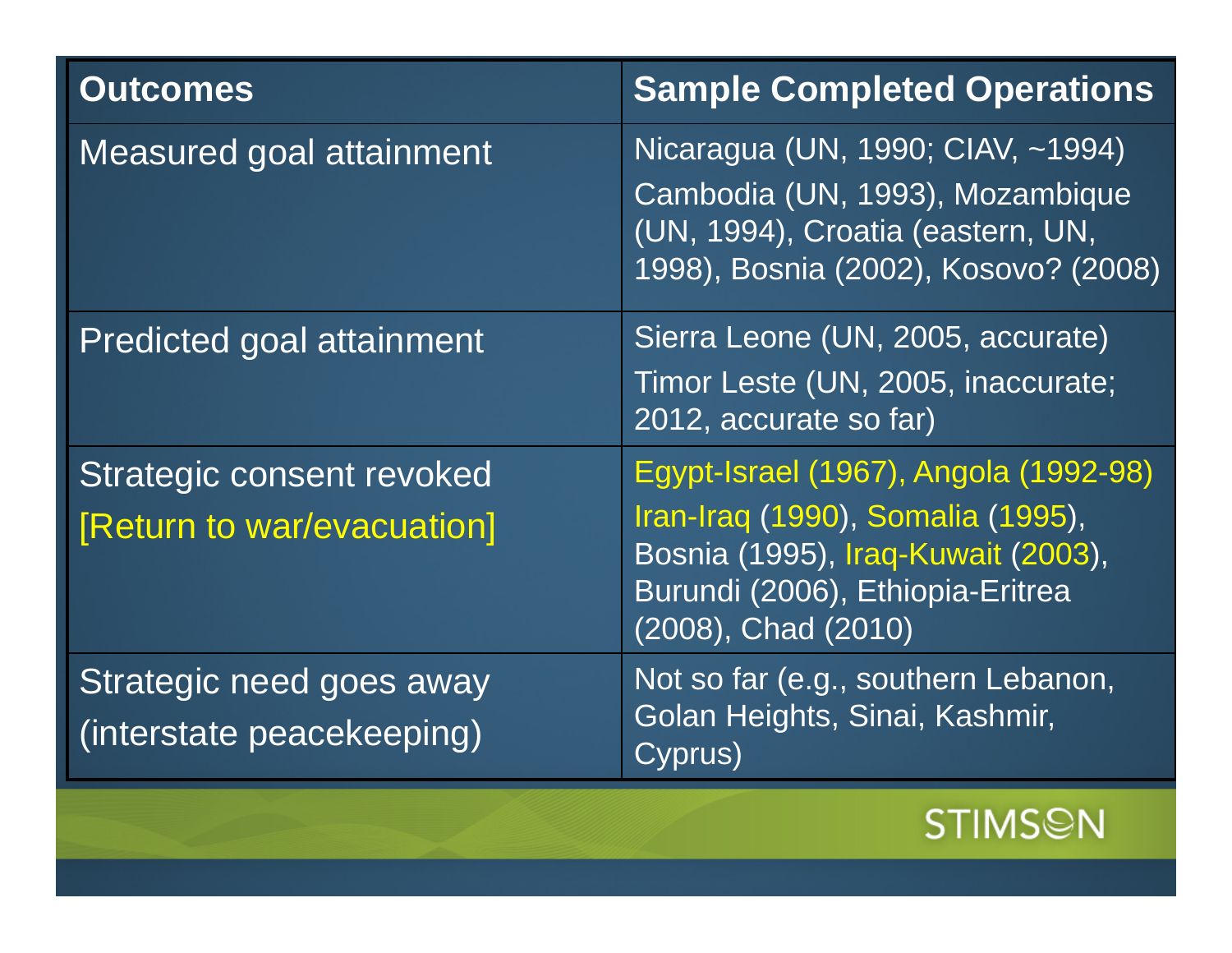| <b>Outcomes</b>                                         | <b>Sample Completed Operations</b>                                                                                                                                          |
|---------------------------------------------------------|-----------------------------------------------------------------------------------------------------------------------------------------------------------------------------|
| <b>Measured goal attainment</b>                         | Nicaragua (UN, 1990; CIAV, ~1994)<br>Cambodia (UN, 1993), Mozambique<br>(UN, 1994), Croatia (eastern, UN,<br>1998), Bosnia (2002), Kosovo? (2008)                           |
| <b>Predicted goal attainment</b>                        | Sierra Leone (UN, 2005, accurate)<br>Timor Leste (UN, 2005, inaccurate;<br>2012, accurate so far)                                                                           |
| Strategic consent revoked<br>[Return to war/evacuation] | Egypt-Israel (1967), Angola (1992-98)<br>Iran-Iraq (1990), Somalia (1995),<br>Bosnia (1995), Iraq-Kuwait (2003),<br>Burundi (2006), Ethiopia-Eritrea<br>(2008), Chad (2010) |
| Strategic need goes away<br>(interstate peacekeeping)   | Not so far (e.g., southern Lebanon,<br>Golan Heights, Sinai, Kashmir,<br>Cyprus)                                                                                            |